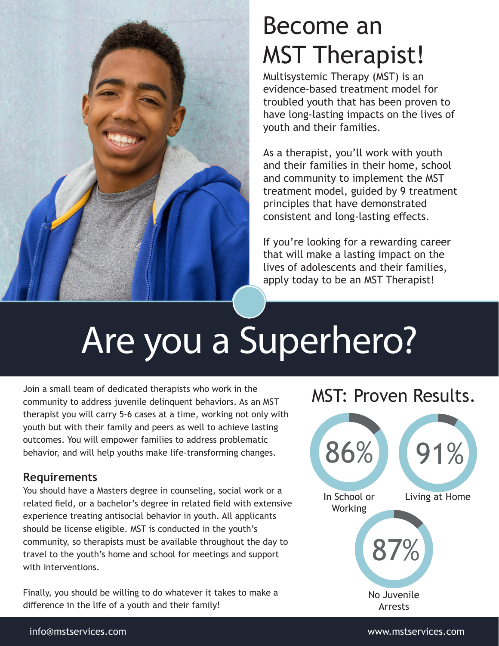

## Become an MST Therapist!

Multisystemic Therapy (MST) is an evidence-based treatment model for troubled youth that has been proven to have long-lasting impacts on the lives of youth and their families.

As a therapist, you'll work with youth and their families in their home, school and community to implement the MST treatment model, guided by 9 treatment principles that have demonstrated consistent and long-lasting effects.

If you're looking for a rewarding career that will make a lasting impact on the lives of adolescents and their families, apply today to be an MST Therapist!

# Are you a Superhero?

Join a small team of dedicated therapists who work in the community to address juvenile delinquent behaviors. As an MST therapist you will carry 5-6 cases at a time, working not only with youth but with their family and peers as well to achieve lasting outcomes. You will empower families to address problematic behavior, and will help youths make life-transforming changes.

#### **Requirements**

You should have a Masters degree in counseling, social work or a related field, or a bachelor's degree in related field with extensive experience treating antisocial behavior in youth. All applicants should be license eligible. MST is conducted in the youth's community, so therapists must be available throughout the day to travel to the youth's home and school for meetings and support with interventions.

Finally, you should be willing to do whatever it takes to make a difference in the life of a youth and their family!

## MST: Proven Results.